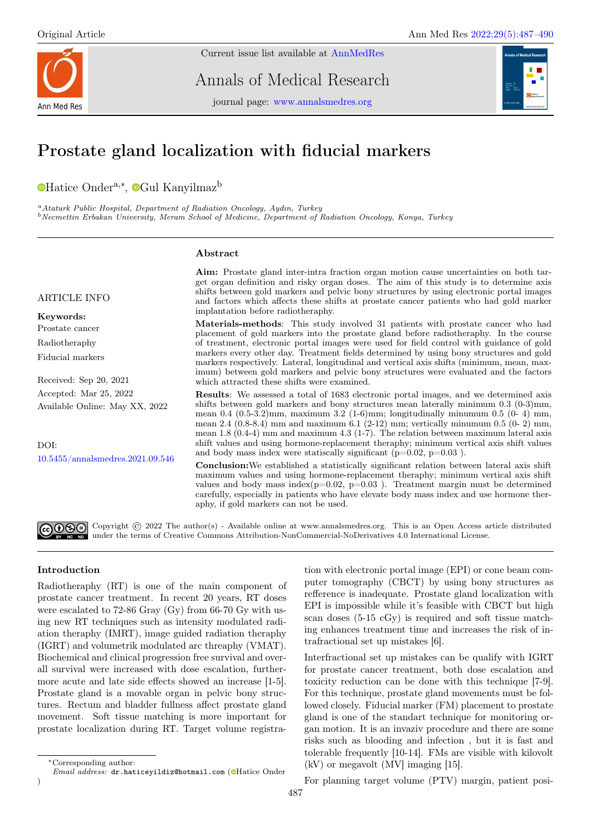

Current issue list available at [AnnMedRes](https://annalsmedres.org/index.php/aomr/issue/view/163)

Annals of Medical Research

journal page: [www.annalsmedres.org](https://www.annalsmedres.org)



# Prostate gland localization with fiducial markers

[H](https://orcid.org/0000-0003-0109-9690)atice Onder<sup>a,∗</sup>, <sup>o</sup>[G](https://orcid.org/0000-0003-2333-353X)ul Kanyilmaz<sup>b</sup>

<sup>a</sup>Ataturk Public Hospital, Department of Radiation Oncology, Aydın, Turkey  $b$ Necmettin Erbakan University, Meram School of Medicine, Department of Radiation Oncology, Konya, Turkey

# Abstract

## ARTICLE INFO

Keywords: Prostate cancer Radiotheraphy Fiducial markers

Received: Sep 20, 2021 Accepted: Mar 25, 2022 Available Online: May XX, 2022

DOI: [10.5455/annalsmedres.2021.09.546](https://doi.org/10.5455/annalsmedres.2021.09.546)

Aim: Prostate gland inter-intra fraction organ motion cause uncertainties on both target organ definition and risky organ doses. The aim of this study is to determine axis shifts between gold markers and pelvic bony structures by using electronic portal images and factors which affects these shifts at prostate cancer patients who had gold marker implantation before radiotheraphy.

Materials-methods: This study involved 31 patients with prostate cancer who had placement of gold markers into the prostate gland before radiotheraphy. In the course of treatment, electronic portal images were used for field control with guidance of gold markers every other day. Treatment fields determined by using bony structures and gold markers respectively. Lateral, longitudinal and vertical axis shifts (minimum, mean, maximum) between gold markers and pelvic bony structures were evaluated and the factors which attracted these shifts were examined.

Results: We assessed a total of 1683 electronic portal images, and we determined axis shifts between gold markers and bony structures mean laterally minimum 0.3 (0-3)mm, mean  $0.4$   $(0.5-3.2)$ mm, maximum  $3.2$   $(1-6)$ mm; longitudinally minumum  $0.5$   $(0-4)$  mm, mean 2.4 (0.8-8.4) mm and maximum 6.1 (2-12) mm; vertically minumum 0.5 (0- 2) mm, mean 1.8 (0.4-4) mm and maximum 4.3 (1-7). The relation between maximum lateral axis shift values and using hormone-replacement theraphy; minimum vertical axis shift values and body mass index were statiscally significant  $(p=0.02, p=0.03)$ .

Conclusion:We established a statistically significant relation between lateral axis shift maximum values and using hormone-replacement theraphy; minimum vertical axis shift values and body mass index( $p=0.02$ ,  $p=0.03$ ). Treatment margin must be determined carefully, especially in patients who have elevate body mass index and use hormone theraphy, if gold markers can not be used.

Copyright © 2022 The author(s) - Available online at www.annalsmedres.org. This is an Open Access article distributed under the terms of Creative Commons Attribution-NonCommercial-NoDerivatives 4.0 International License.

# Introduction

)

Radiotheraphy (RT) is one of the main component of prostate cancer treatment. In recent 20 years, RT doses were escalated to 72-86 Gray (Gy) from 66-70 Gy with using new RT techniques such as intensity modulated radiation theraphy (IMRT), image guided radiation theraphy (IGRT) and volumetrik modulated arc threaphy (VMAT). Biochemical and clinical progression free survival and overall survival were increased with dose escalation, furthermore acute and late side effects showed an increase [1-5]. Prostate gland is a movable organ in pelvic bony structures. Rectum and bladder fullness affect prostate gland movement. Soft tissue matching is more important for prostate localization during RT. Target volume registra-

tion with electronic portal image (EPI) or cone beam computer tomography (CBCT) by using bony structures as refference is inadequate. Prostate gland localization with EPI is impossible while it's feasible with CBCT but high scan doses (5-15 cGy) is required and soft tissue matching enhances treatment time and increases the risk of intrafractional set up mistakes [6].

Interfractional set up mistakes can be qualify with IGRT for prostate cancer treatment, both dose escalation and toxicity reduction can be done with this technique [7-9]. For this technique, prostate gland movements must be followed closely. Fiducial marker (FM) placement to prostate gland is one of the standart technique for monitoring organ motion. It is an invaziv procedure and there are some risks such as blooding and infection , but it is fast and tolerable frequently [10-14]. FMs are visible with kilovolt (kV) or megavolt (MV] imaging [15].

For planning target volume (PTV) margin, patient posi-

<sup>∗</sup>Corresponding author:

Email address: dr.haticeyildiz@hotmail.com [\(](https://orcid.org/0000-0003-0109-9690)@Hatice Onder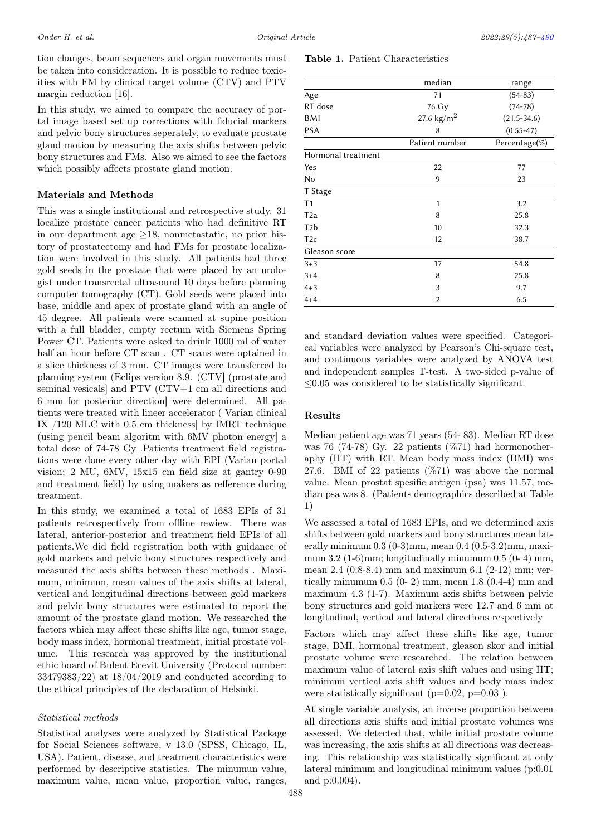tion changes, beam sequences and organ movements must be taken into consideration. It is possible to reduce toxicities with FM by clinical target volume (CTV) and PTV margin reduction [16].

In this study, we aimed to compare the accuracy of portal image based set up corrections with fiducial markers and pelvic bony structures seperately, to evaluate prostate gland motion by measuring the axis shifts between pelvic bony structures and FMs. Also we aimed to see the factors which possibly affects prostate gland motion.

## Materials and Methods

This was a single institutional and retrospective study. 31 localize prostate cancer patients who had definitive RT in our department age  $\geq$ 18, nonmetastatic, no prior history of prostatectomy and had FMs for prostate localization were involved in this study. All patients had three gold seeds in the prostate that were placed by an urologist under transrectal ultrasound 10 days before planning computer tomography (CT). Gold seeds were placed into base, middle and apex of prostate gland with an angle of 45 degree. All patients were scanned at supine position with a full bladder, empty rectum with Siemens Spring Power CT. Patients were asked to drink 1000 ml of water half an hour before CT scan . CT scans were optained in a slice thickness of 3 mm. CT images were transferred to planning system (Eclips version 8.9. (CTV] (prostate and seminal vesicals] and PTV (CTV+1 cm all directions and 6 mm for posterior direction] were determined. All patients were treated with lineer accelerator ( Varian clinical IX /120 MLC with 0.5 cm thickness] by IMRT technique (using pencil beam algoritm with 6MV photon energy] a total dose of 74-78 Gy .Patients treatment field registrations were done every other day with EPI (Varian portal vision; 2 MU, 6MV, 15x15 cm field size at gantry 0-90 and treatment field) by using makers as refference during treatment.

In this study, we examined a total of 1683 EPIs of 31 patients retrospectively from offline rewiew. There was lateral, anterior-posterior and treatment field EPIs of all patients.We did field registration both with guidance of gold markers and pelvic bony structures respectively and measured the axis shifts between these methods . Maximum, minimum, mean values of the axis shifts at lateral, vertical and longitudinal directions between gold markers and pelvic bony structures were estimated to report the amount of the prostate gland motion. We researched the factors which may affect these shifts like age, tumor stage, body mass index, hormonal treatment, initial prostate volume. This research was approved by the institutional ethic board of Bulent Ecevit University (Protocol number: 33479383/22) at 18/04/2019 and conducted according to the ethical principles of the declaration of Helsinki.

#### Statistical methods

Statistical analyses were analyzed by Statistical Package for Social Sciences software, v 13.0 (SPSS, Chicago, IL, USA). Patient, disease, and treatment characteristics were performed by descriptive statistics. The minumun value, maximum value, mean value, proportion value, ranges,

# Table 1. Patient Characteristics

<span id="page-1-0"></span>

|                    | median               | range           |
|--------------------|----------------------|-----------------|
| Age                | 71                   | $(54-83)$       |
| RT dose            | 76 Gy                | $(74 - 78)$     |
| BMI                | 27.6 $\text{kg/m}^2$ | $(21.5 - 34.6)$ |
| <b>PSA</b>         | 8                    | $(0.55 - 47)$   |
|                    | Patient number       | Percentage(%)   |
| Hormonal treatment |                      |                 |
| Yes                | 22                   | 77              |
| No                 | 9                    | 23              |
| T Stage            |                      |                 |
| T <sub>1</sub>     | 1                    | 3.2             |
| T <sub>2a</sub>    | 8                    | 25.8            |
| T <sub>2</sub> b   | 10                   | 32.3            |
| T <sub>2c</sub>    | 12                   | 38.7            |
| Gleason score      |                      |                 |
| $3 + 3$            | 17                   | 54.8            |
| $3 + 4$            | 8                    | 25.8            |
| $4 + 3$            | 3                    | 9.7             |
| $4 + 4$            | 2                    | 6.5             |

and standard deviation values were specified. Categorical variables were analyzed by Pearson's Chi-square test, and continuous variables were analyzed by ANOVA test and independent samples T-test. A two-sided p-value of  $\leq$ 0.05 was considered to be statistically significant.

## Results

Median patient age was 71 years (54- 83). Median RT dose was 76 (74-78) Gy. 22 patients (%71) had hormonotheraphy (HT) with RT. Mean body mass index (BMI) was 27.6. BMI of 22 patients (%71) was above the normal value. Mean prostat spesific antigen (psa) was 11.57, median psa was 8. (Patients demographics described at Table 1)

We assessed a total of 1683 EPIs, and we determined axis shifts between gold markers and bony structures mean laterally minimum 0.3 (0-3)mm, mean 0.4 (0.5-3.2)mm, maximum  $3.2$  (1-6)mm; longitudinally minumum  $0.5$  (0-4) mm, mean 2.4 (0.8-8.4) mm and maximum 6.1 (2-12) mm; vertically minumum  $0.5$  (0-2) mm, mean 1.8 (0.4-4) mm and maximum 4.3 (1-7). Maximum axis shifts between pelvic bony structures and gold markers were 12.7 and 6 mm at longitudinal, vertical and lateral directions respectively

Factors which may affect these shifts like age, tumor stage, BMI, hormonal treatment, gleason skor and initial prostate volume were researched. The relation between maximum value of lateral axis shift values and using HT; minimum vertical axis shift values and body mass index were statistically significant ( $p=0.02$ ,  $p=0.03$ ).

At single variable analysis, an inverse proportion between all directions axis shifts and initial prostate volumes was assessed. We detected that, while initial prostate volume was increasing, the axis shifts at all directions was decreasing. This relationship was statistically significant at only lateral minimum and longitudinal minimum values (p:0.01 and p:0.004).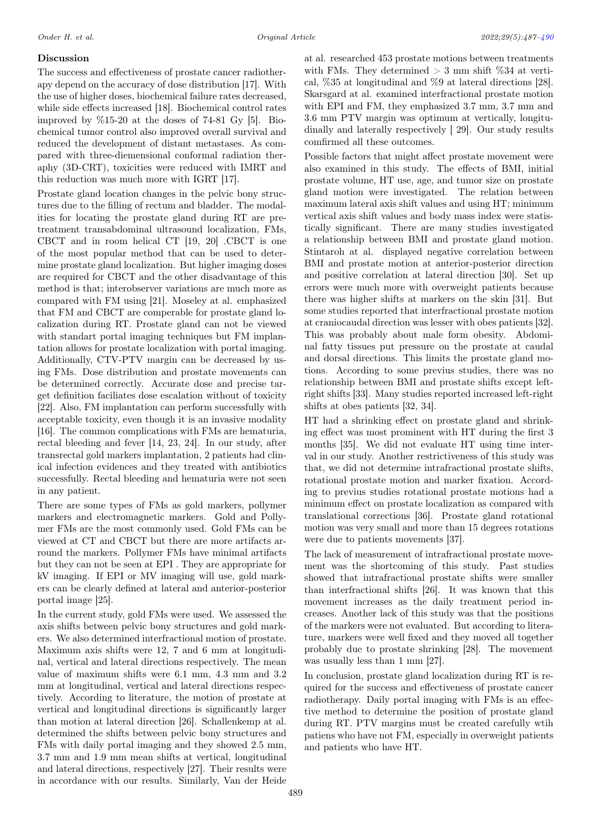# Discussion

The success and effectiveness of prostate cancer radiotherapy depend on the accuracy of dose distribution [17]. With the use of higher doses, biochemical failure rates decreased, while side effects increased [18]. Biochemical control rates improved by  $\%15-20$  at the doses of 74-81 Gy [5]. Biochemical tumor control also improved overall survival and reduced the development of distant metastases. As compared with three-diemensional conformal radiation theraphy (3D-CRT), toxicities were reduced with IMRT and this reduction was much more with IGRT [17].

Prostate gland location changes in the pelvic bony structures due to the filling of rectum and bladder. The modalities for locating the prostate gland during RT are pretreatment transabdominal ultrasound localization, FMs, CBCT and in room helical CT [19, 20] .CBCT is one of the most popular method that can be used to determine prostate gland localization. But higher imaging doses are required for CBCT and the other disadvantage of this method is that; interobserver variations are much more as compared with FM using [21]. Moseley at al. emphasized that FM and CBCT are comperable for prostate gland localization during RT. Prostate gland can not be viewed with standart portal imaging techniques but FM implantation allows for prostate localization with portal imaging. Additionally, CTV-PTV margin can be decreased by using FMs. Dose distribution and prostate movements can be determined correctly. Accurate dose and precise target definition faciliates dose escalation without of toxicity [22]. Also, FM implantation can perform successfully with acceptable toxicity, even though it is an invasive modality [16]. The common complications with FMs are hematuria, rectal bleeding and fever [14, 23, 24]. In our study, after transrectal gold markers implantation, 2 patients had clinical infection evidences and they treated with antibiotics successfully. Rectal bleeding and hematuria were not seen in any patient.

There are some types of FMs as gold markers, pollymer markers and electromagnetic markers. Gold and Pollymer FMs are the most commonly used. Gold FMs can be viewed at CT and CBCT but there are more artifacts arround the markers. Pollymer FMs have minimal artifacts but they can not be seen at EPI . They are appropriate for kV imaging. If EPI or MV imaging will use, gold markers can be clearly defined at lateral and anterior-posterior portal image [25].

In the current study, gold FMs were used. We assessed the axis shifts between pelvic bony structures and gold markers. We also determined interfractional motion of prostate. Maximum axis shifts were 12, 7 and 6 mm at longitudinal, vertical and lateral directions respectively. The mean value of maximum shifts were 6.1 mm, 4.3 mm and 3.2 mm at longitudinal, vertical and lateral directions respectively. According to literature, the motion of prostate at vertical and longitudinal directions is significantly larger than motion at lateral direction [26]. Schallenkemp at al. determined the shifts between pelvic bony structures and FMs with daily portal imaging and they showed 2.5 mm, 3.7 mm and 1.9 mm mean shifts at vertical, longitudinal and lateral directions, respectively [27]. Their results were in accordance with our results. Similarly, Van der Heide

at al. researched 453 prostate motions between treatments with FMs. They determined  $> 3$  mm shift %34 at vertical, %35 at longitudinal and %9 at lateral directions [28]. Skarsgard at al. examined interfractional prostate motion with EPI and FM, they emphasized 3.7 mm, 3.7 mm and 3.6 mm PTV margin was optimum at vertically, longitudinally and laterally respectively [ 29]. Our study results comfirmed all these outcomes.

Possible factors that might affect prostate movement were also examined in this study. The effects of BMI, initial prostate volume, HT use, age, and tumor size on prostate gland motion were investigated. The relation between maximum lateral axis shift values and using HT; minimum vertical axis shift values and body mass index were statistically significant. There are many studies investigated a relationship between BMI and prostate gland motion. Stintaroh at al. displayed negative correlation between BMI and prostate motion at anterior-posterior direction and positive correlation at lateral direction [30]. Set up errors were much more with overweight patients because there was higher shifts at markers on the skin [31]. But some studies reported that interfractional prostate motion at craniocaudal direction was lesser with obes patients [32]. This was probably about male form obesity. Abdominal fatty tissues put pressure on the prostate at caudal and dorsal directions. This limits the prostate gland motions. According to some previus studies, there was no relationship between BMI and prostate shifts except leftright shifts [33]. Many studies reported increased left-right shifts at obes patients [32, 34].

HT had a shrinking effect on prostate gland and shrinking effect was most prominent with HT during the first 3 months [35]. We did not evaluate HT using time interval in our study. Another restrictiveness of this study was that, we did not determine intrafractional prostate shifts, rotational prostate motion and marker fixation. According to previus studies rotational prostate motions had a minimum effect on prostate localization as compared with translational corrections [36]. Prostate gland rotational motion was very small and more than 15 degrees rotations were due to patients movements [37].

The lack of measurement of intrafractional prostate movement was the shortcoming of this study. Past studies showed that intrafractional prostate shifts were smaller than interfractional shifts [26]. It was known that this movement increases as the daily treatment period increases. Another lack of this study was that the positions of the markers were not evaluated. But according to literature, markers were well fixed and they moved all together probably due to prostate shrinking [28]. The movement was usually less than 1 mm [27].

In conclusion, prostate gland localization during RT is required for the success and effectiveness of prostate cancer radiotherapy. Daily portal imaging with FMs is an effective method to determine the position of prostate gland during RT. PTV margins must be created carefully wtih patiens who have not FM, especially in overweight patients and patients who have HT.